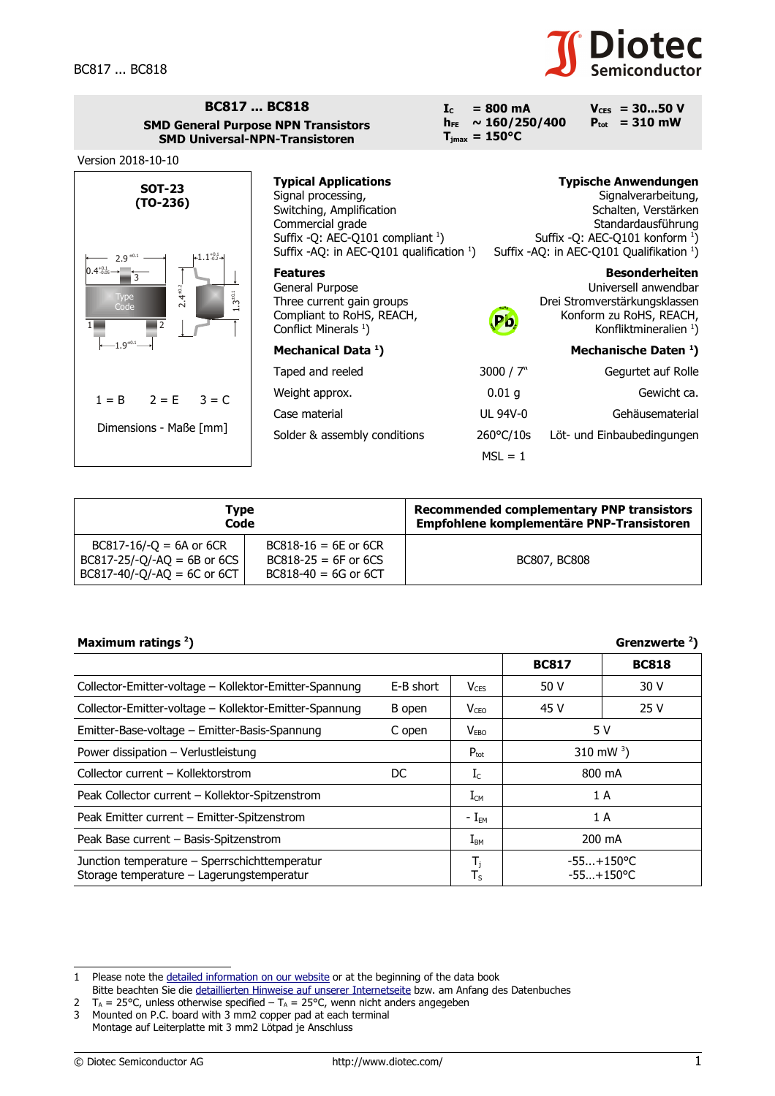

 $V_{CES}$  = 30...50 V **Ptot = 310 mW**

**Typische Anwendungen** Signalverarbeitung, Schalten, Verstärken Standardausführung

Konform zu RoHS, REACH, Konfliktmineralien<sup>1</sup>)

**Besonderheiten** Universell anwendbar

 $I_c$  = 800 mA  $h_{FE} \sim 160/250/400$ 

 $T_{\text{jmax}} = 150^{\circ}C$ 

## **BC817 ... BC818 SMD General Purpose NPN Transistors SMD Universal-NPN-Transistoren**



| Type                                                                                          |                                                                            | <b>Recommended complementary PNP transistors</b> |  |  |
|-----------------------------------------------------------------------------------------------|----------------------------------------------------------------------------|--------------------------------------------------|--|--|
| Code                                                                                          |                                                                            | Empfohlene komplementäre PNP-Transistoren        |  |  |
| $BC817-16/-O = 6A$ or 6CR<br>$BC817-25/-Q/-AQ = 6B$ or 6CS  <br>$BC817-40/-Q/-AQ = 6C$ or 6CT | $BC818-16 = 6E$ or 6CR<br>$BC818-25 = 6F$ or 6CS<br>$BC818-40 = 6G$ or 6CT | BC807, BC808                                     |  |  |

| Maximum ratings <sup>2</sup> )                                                             | Grenzwerte $2$ ) |                   |                              |              |
|--------------------------------------------------------------------------------------------|------------------|-------------------|------------------------------|--------------|
|                                                                                            |                  |                   | <b>BC817</b>                 | <b>BC818</b> |
| Collector-Emitter-voltage – Kollektor-Emitter-Spannung                                     | E-B short        | $V_{CFS}$         | 50 V                         | 30 V         |
| Collector-Emitter-voltage - Kollektor-Emitter-Spannung                                     | B open           | V <sub>ceo</sub>  | 45 V                         | 25 V         |
| Emitter-Base-voltage – Emitter-Basis-Spannung                                              | C open           | V <sub>FBO</sub>  | 5 V                          |              |
| Power dissipation - Verlustleistung                                                        |                  | $P_{\text{tot}}$  | 310 mW $^{3}$ )              |              |
| Collector current - Kollektorstrom                                                         | DC.              | $I_{C}$           | 800 mA                       |              |
| Peak Collector current - Kollektor-Spitzenstrom                                            |                  | $\rm I_{CM}$      | 1 A                          |              |
| Peak Emitter current - Emitter-Spitzenstrom                                                |                  | - $I_{EM}$        | 1 A                          |              |
| Peak Base current - Basis-Spitzenstrom                                                     |                  | $I_{\texttt{BM}}$ | 200 mA                       |              |
| Junction temperature - Sperrschichttemperatur<br>Storage temperature - Lagerungstemperatur |                  | T,<br>$T_S$       | $-55+150$ °C<br>$-55+150$ °C |              |

<span id="page-0-0"></span><sup>1</sup> Please note the [detailed information on our website](http://diotec.com/en/products/all-products.html) or at the beginning of the data book

Bitte beachten Sie die [detaillierten Hinweise auf unserer Internetseite](http://diotec.com/de/produkte/uebersicht.html) bzw. am Anfang des Datenbuches

<span id="page-0-1"></span><sup>2</sup>  $T_A = 25^{\circ}C$ , unless otherwise specified  $-T_A = 25^{\circ}C$ , wenn nicht anders angegeben

<span id="page-0-2"></span><sup>3</sup> Mounted on P.C. board with 3 mm2 copper pad at each terminal Montage auf Leiterplatte mit 3 mm2 Lötpad je Anschluss